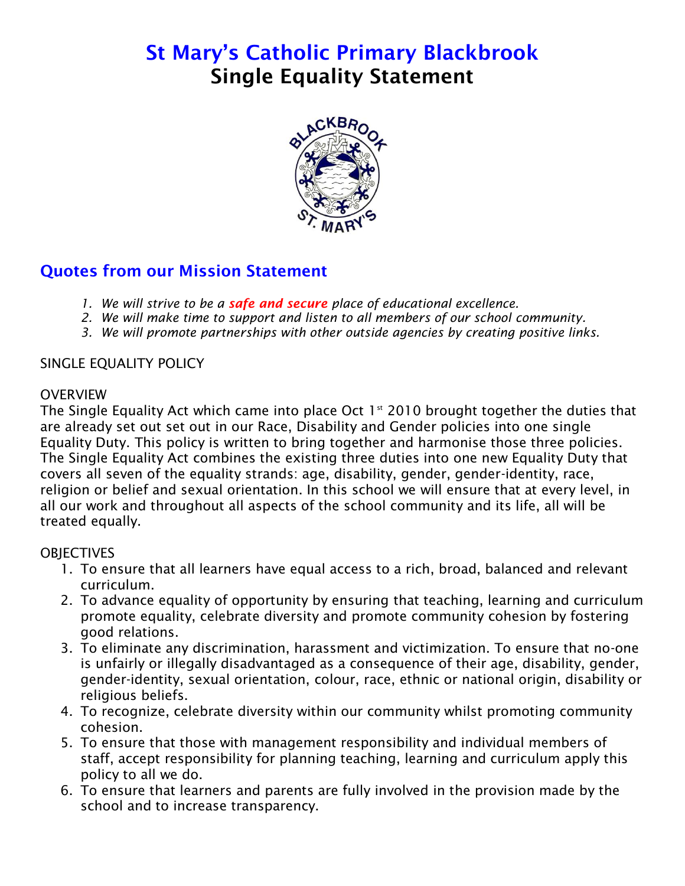# **St Mary's Catholic Primary Blackbrook Single Equality Statement**



# **Quotes from our Mission Statement**

- *1. We will strive to be a safe and secure place of educational excellence.*
- *2. We will make time to support and listen to all members of our school community.*
- *3. We will promote partnerships with other outside agencies by creating positive links.*

#### SINGLE EQUALITY POLICY

#### **OVERVIEW**

The Single Equality Act which came into place Oct  $1<sup>st</sup>$  2010 brought together the duties that are already set out set out in our Race, Disability and Gender policies into one single Equality Duty. This policy is written to bring together and harmonise those three policies. The Single Equality Act combines the existing three duties into one new Equality Duty that covers all seven of the equality strands: age, disability, gender, gender-identity, race, religion or belief and sexual orientation. In this school we will ensure that at every level, in all our work and throughout all aspects of the school community and its life, all will be treated equally.

#### **OBJECTIVES**

- 1. To ensure that all learners have equal access to a rich, broad, balanced and relevant curriculum.
- 2. To advance equality of opportunity by ensuring that teaching, learning and curriculum promote equality, celebrate diversity and promote community cohesion by fostering good relations.
- 3. To eliminate any discrimination, harassment and victimization. To ensure that no-one is unfairly or illegally disadvantaged as a consequence of their age, disability, gender, gender-identity, sexual orientation, colour, race, ethnic or national origin, disability or religious beliefs.
- 4. To recognize, celebrate diversity within our community whilst promoting community cohesion.
- 5. To ensure that those with management responsibility and individual members of staff, accept responsibility for planning teaching, learning and curriculum apply this policy to all we do.
- 6. To ensure that learners and parents are fully involved in the provision made by the school and to increase transparency.